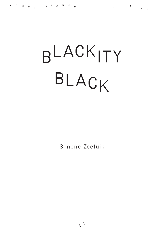# **BLACKITY BLACK**

**Simone Zeefuik**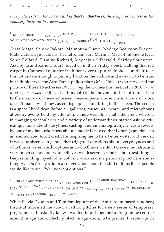*Five pictures from the moodboard of Blacker Blackness, the temporary course at the Sandberg Instituut in Amsterdam.*

**1. NOT SO MUCH ONE… BUT EVERY SINGLE SHOT OF THE CO-AUTHORS OF THE BOOK** *NOIRE N'EST PAS MON METIER* **DURING THE CANNES FILM FESTIVAL OF 2018**

Aïssa Maïga, Sabine Pakora, Maïmouna Gueye, Nadège Beausson-Diagne, Mata Gabin, Eye Haïdara, Rachel Khan, Sara Martins, Marie-Philomène Nga, Sonia Rolland, Firmine Richard, Magaajyia Silberfeld, Shirley Souagnon, Assa Sylla and Karidja Touré: together, in their Friday's best, walking that red carpet in Cannes like Justice itself bent over to put their shoes on their feet. I'm not certain enough to put my hand on the archive and swear it to be true, but I think it was the Afro-Dutch philosopher Grâce Ndjako who retweeted the picture of these 16 actresses *Blaccupying* the Cannes film festival in 2018. *Noire n'est pas mon metier* (Black isn't my job) is the movement that introduced me to the majority of these actresses, these experts whose current body of work doesn't match what they, as craftspeople, could bring to the screen. The screen is a space I hold dear. Before art galleries, museums, theatre, and microphones at poetry events held my attention… there was film. That's the arena where I, in changing vocabularies and a variety of understandings, started asking critical questions about storylines, casting, and cinematography. It was a review by one of my favourite poets about a movie I enjoyed that I often (sometimes in an anonymized form) credit for inspiring me to be a better writer and viewer. It was our absence in genres that triggered questions about everydayness and who thinks we're worth, options and who thinks we don't crave it but also, and very much so, joy and who believes we deserve it. One of the truest things I keep reminding myself of in both my work and my personal practice is something Ava DuVernay said in a conversation about the kind of films Black people would like to see: "We just want options."

**2. A BLACK AND WHITE PICTURE OF TONI MORRISON AND EDWIDGE DANTICAT, SITTING NEXT TO EACH OTHER IN TWO LARGE CHAIRS, SMILING AT EACH OTHER. DANTICAT IS AT THE EDGE OF HER SEAT AND LEANING TOWARDS MORRISON.**

When Flavia Dzodan and Tom Vandeputte of the Amsterdam-based Sandberg Instituut informed me about a call for pitches for a new series of temporary programmes, I instantly knew I wanted to put together a programme centred around imagination. Blackity Black imagination, to be precise. I wrote a pitch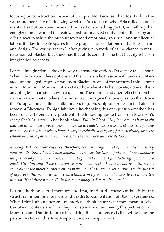focusing on construction instead of critique. Not because I had lost faith in the value and necessity of criticizing work that's a result of what Fela called colonial mentalities but because I was in dire need of something joyful, something that energized me. I wanted to create an institutionalized equivalent of Black joy and offer a way to salute the often unrewarded emotional, spiritual, and intellectual labour it takes to create spaces for the proper representations of Blackness in art and design. The course which I, after giving two work titles the chance to marinate, named Blacker Blackness has that at its core. It's one that heavily relies on imagination as access.

For me, imagination is the only way to create the options DuVernay talks about. When I think about these options and the writers who bless us with uncoded, liberated, unapologetic representations of Blackness, one of the authors I think about is Toni Morrison. Morrison often stated how she starts her novels, none of them anything less than stellar, with a question. The more I study her reflections on her own work and that of others, the more I try to imagine that one question that drove the European novel, film, exhibition, photograph, sculpture or design that aims to represent Blackness. To highlight how life-changing this one-question-method has been for me, I opened my pitch with the following quote from Toni Morrison's essay *God's Language* in her book *Mouth Full Of Blood*: *"My job becomes how to rip that veil drawn over 'proceedings too terrible to relate'. The exercise is also critical for any person who is black, or who belongs to any marginalized category, for, historically, we were seldom invited to participate in the discourse even when we were its topic.* 

*Moving that veil aside requires, therefore, certain things. First of all, I must trust my own recollections. I must also depend on the recollections of others. Thus, memory weighs heavily in what I write, in how I begin and in what I find to be significant. Zora Neale Hurston said, 'Like the dead-seeming, cold rocks, I have memories within that came out of the material that went to make me.' These 'memories within' are the subsoil of my work. But memories and recollections won't give me total access to the unwritten interior life of these people. Only the act of imagination can help me."*

For me, both ancestral memory and imagination fill these voids left by the structural, intentional erasure and un(der)documentation of Black experiences. When I think about ancestral memories, I think about what they mean in Afro-Caribbean contexts and how they root so many of us. Seeing this picture of Toni Morrison and Danticat, forces in centring Black audiences is like witnessing the personification of this Afrodiasporic union of inspirations.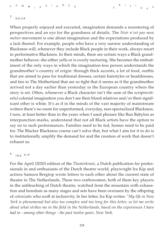```
C O M M I S S I O N E D         C
```
 $R \parallel T \parallel$ **<sup>Q</sup> <sup>U</sup> <sup>E</sup>**

# **3 . NOUR**

When properly enjoyed and executed, imagination demands a recentering of perspectives and an eye for the grandness of details. The *Noir n'est pas mon metier*-movement is one about imagination and the expectations produced by a lack thereof. For example, people who have a very narrow understanding of Blackness will, whenever they include Black people in their work, always resort to performative Blackness. In their minds, there are certain ways a Black grandmother behaves: she either yells or is overly nurturing. She becomes the embodiment of the only ways in which the imagination-less person understands the grandmother's country of origin: through thick accents, a lot of food, outfits that are aimed to pass for traditional dresses, certain hairstyles or headdresses, and ties to The Motherland that are so tight that it seems as if the grandmother arrived not a day earlier than yesterday in the European country where the story is set. Often, whenever a Black character isn't the sum of the scriptwriter(s) colonial imagination you don't see their blood relatives and/or their significant other is white. It's as if in the minds of the vast majority of mainstream writers there's no room for unperformed, everyday, non-spectaclized Blackness. I now, at least better than in the years when I used phrases like Bun Babylon as interpunction marks, understand that not all Black artists have the option to say no to such performances. Families need to be fed, homes need to be paid for. The Blacker Blackness course can't solve that, but what I aim for it to do is to institutionally amplify the demand for and the creation of work that doesn't exhaust us.

#### **4 . IRA KIP**

For the April (2020) edition of the *Theaterkrant*, a Dutch publication for professionals in and enthusiasts of the Dutch theatre world, playwright Ira Kip and actress Samora Bergtop wrote letters to each other about the current state of theatre in The Netherlands. These two craftswomen, both of them key players in the unbleaching of Dutch theatre, watched from the mountain with exhaustion and boredom as many stages and sets have been overseen by the offspring of *colonizahs* who scoff at inclusivity. In her letter, Ira Kip writes: *"My life in New York is phenomenal but also too complex and too long for this letter, so let me write about what strikes me in the field in the Netherlands, based on the experiences I have had in - among other things - the past twelve years. New York.*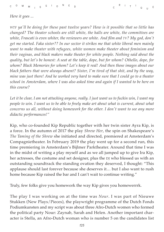## *Here it goes ...*

*WTF ya'll be doing for these past twelve years? How is it possible that so little has changed? The theater schools are still white, the halls are white, the committees are white, Frascati is even whiter, the reviewers are white. And film and TV? My god, don't get me started. Faka sister?? In our sector it strikes me that white liberal men mainly want to make theater with refugees, white women make theater about feminism and their vaginas, and black makers make theater for white people. Nothing said about the quality, but let's be honest: A seat at the table, dope, but for whom? Othello, dope, for whom? Black Memories for whom? Let's keep it real! And then those images about our black fathers that were always absent? Sister, I'm tired of that shit, and by the way, mine was just there! And he worked very hard to make sure that I could go to a theater school in Amsterdam, where I was also asked time and again if I wanted to be here on this course?*

Let it be clear, I am not attacking anyone, really. I just want us to fuckin win, I want my *people to win. I want us to be able to freely make art about what is current, about what concerns us all, without doing homework for the other. I don't want to see any more didactic performances!"*

Kip, who co-founded Kip Republic together with her twin sister Ayra Kip, is a force. In the autumn of 2017 the play *Shrew Her*, the spin on Shakespeare's *The Taming of the Shrew* she initiated and directed, premiered at Amsterdam's Compagnietheater. In February 2019 the play went up for a second run, this time premiering in Amsterdam's Bijlmer Parktheater. Around that time I was in the midst of writing a play myself and as we all jumped up to give Ira Kip, her actresses, the costume and set designer, plus the DJ who blessed us with an outstanding soundtrack the standing ovation they deserved, I thought: "This applause should last forever because she deserves it… but I also want to rush home because Kip raised the bar and I can't wait to continue writing."

Truly, few folks give you homework the way Kip gives you homewerrrk.

The play I was working on at the time was *Nour*. I was part of Nieuwe Stukken (New Plays/Pieces), the playwright programme of the Dutch Fonds Podiumkunsten and my script was about three Afro-Dutch women who formed the political party Nour: Zaynab, Sarah and Helen. Another important character is Stella, an Afro-Dutch woman who is number 5 on the candidates list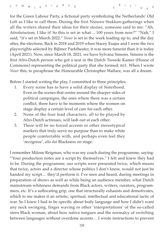for the Green Labour Party, a fictional party symbolizing the Netherlands' Old Left as I like to call them. During the first Nieuwe Stukken-gatherings when all the writers shared their ideas for their stories, someone said to me: "Ah, Afrofuturism, I like it! So this is set in what… 100 years from now?" "Nah," I said, "it's set in March 2022." *Nour* is set in the week leading up to, and the day after, the elections. Back in 2018 and 2019 when Stacey Esajas and I were the two playwrights selected by Bijlmer Parktheater, it was more futurist than it is today (April 2021). Now, since March 18, 2021, we have Sylvana Simons. Simons is the first Afro-Dutch person who got a seat in the Dutch Tweede Kamer (House of Commons) representing the political party that she formed: BIJ1. When I wrote *Nour* this, to paraphrase the Honourable Christopher Wallace, was all a dream.

Before I started writing the play, I committed to three principles:

- 1. Every scene has to have a solid display of Sisterhood. Even in the scenes that centre around the sharper sides of political campaigns, the ones where there was a certain conflict, there have to be moments where the women on stage display a certain level of care for each other.
- 2. None of the four lead characters, all to be played by Afro-Dutch actresses, will lash out at each other.
- 3. There will be no forced accents or other stereotypical markers that truly serve no purpose than to make white people comfortable with, and perhaps even feel they 'recognize', *alla dat* Blackness on stage.

I remember Milone Reigman, who was my coach during the programme, saying: "Your production notes are a script by themselves." I felt and knew they had to be. During the programme, our scripts were presented twice, which means that twice, actors and a director whose politics I don't know, would not just be handed my script… they'd perform it. I've seen and heard, during meetings in preparation of shows as well as while being an audience member, what Dutch mainstream-whiteness demands from Black actors, writers, curators, programmers, etc. It's a suffocating grip, one that structurally exhausts and demotivates, which to me makes it an artistic, spiritual, intellectual and educational tactic of war. So I knew I had to be specific about body language and how I didn't want any neck swinging, finger waving or other 'interpretations' of the so-called stern Black woman, about how native tongues and the normalcy of switching between languages without overdone accents… I wrote instructions to prevent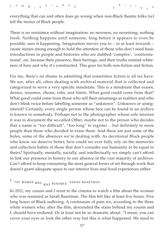everything that can and often does go wrong when non-Black theatre folks (re) tell the stories of Black people.

There is no resistance without imagination: no newness, no recentring, nothing fresh. Nothing happens until someone, long before it appears to even be possible, sees it happening. Imagination moves you to – or at least towards – create stories strong enough to hold the attention of those who don't need basic introductions to people and histories who are dubbed 'complex', 'confrontational', etc. because their presence, their heritage, and their truths remind whiteness of how and why it's constructed. This goes for both non-fiction and fiction.

For me, there's no shame in admitting that sometimes fiction is all we have. We are, after all, often dealing with archival material that is collected and categorized to serve a very specific mindstate. This is a mindstate that erases, denies, renames, cheats, robs, and limits. What good could come from that? What good could come from those who sell their renamings as realities and who don't blink twice before labelling someone as "unknown". Unknown or unregistered? Certainly, every single person whose face can be found in an archive is known to somebody. Perhaps not to the photographer whose sole mission it was to document the so-called Other, maybe not to the person who decides that a name is "too difficult", "too long" to register… but definitely to more people than those who decided to erase them. And these are just some of the holes, some of the absences we're dealing with. As decolonial Black people who know we deserve better, how could we ever fully rely on the memories and collection habits of those that don't consider our humanity to be equal to theirs? Spiritually, mentally, socially, and intellectually we simply can't afford to link our presence in history to our absence in the vast majority of archives. Can't afford to keep consuming the most general forms of art through work that doesn't grant adequate space to our interior lives and lived experiences either.

**5 . THE WOMAN WHO WAS RENAMED 'SARAH BAARTMAN'**

In 2011, my cousin and I went to the cinema to watch a film about the woman who was renamed as Sarah Baartman. The film felt like at least five hours. Five long hours of Black suffering. A continuum of pain we, according to the three white women who, after the film, descended the stairs behind my cousin and I, should have endured. Or at least not be so dramatic about. "I mean, you can cover your eyes or look the other way but this is what happened. We need to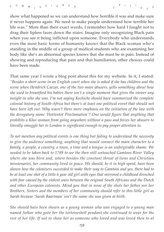show what happened so we can understand how horrible it was and make sure it never happens again. We need to make people understand how terrible her life was." More than their exact words, I remember how hard I fought not to drag their lipless faces down the stairs. Imagine only recognizing Black pain when you see it being inflicted upon someone. Everybody who understands even the most basic forms of humanity knows that the Black woman who's standing in the middle of a group of medical students who are examining her body like she's an abnormal species knows that she must be in pain. Instead of showing and reproducing that pain and that humiliation, other choices could have been made.

That same year I wrote a blog post about this for my website. In it, I stated: *"Besides a short scene in an English court when she is asked if she has children and the scene when Hendrick Caezar, one of the two main abusers, yells something about how she used to breastfeed his babies there isn't a single moment that gives the viewer any insight in who she was. I'm not saying Kechiche should have summarized the complete colonial history of South-Africa but there's at least one political event that should not have been left out. Why wasn't there more emphasis on the initiation of the law with the derogatory name 'Hottentot Proclamation'? One would figure that anything that prohibits a Khoi woman from going anywhere without a pass and forces her abusers to literally smuggle her to London is significant enough to pay proper attention to.*

*To not mention any political events is one thing but failing to understand the necessity to give the audience something, anything that would connect the main character to a family, a people, a country, a town, a time and a tongue is an unforgivable shame. We needed to be taken back to 1789 to see the then still untouched Gamtoos River Valley where she was born and, where besides the constant threat of lions and Christian missionaries, her community lived in peace. We should, be it in high speed, have been shown how the colonizers succeeded to make their way to Gamtoos and yes, there had to be at least one shot of a little 6 year old girl with eyes that mirrored a childhood drenched with fear caused by the violent wars between the original South Africans and the Dutch and other European colonists. Mind you that in none of the shots her father nor her Brothers, Sisters and the members of her community should refer to this little girl as Sarah because 'Sarah Baartman' isn't the name she was given at birth.*

*She should have been shown as a young woman who was engaged to a young man named Solkar who gave her the tortoiseshell pendant she continued to wear for the*  rest of her life. If not to show her as someone who loved and was loved then to at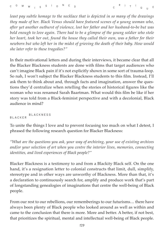**<sup>C</sup> <sup>O</sup> <sup>M</sup> <sup>M</sup> <sup>I</sup> <sup>S</sup> <sup>S</sup> <sup>I</sup> <sup>O</sup> <sup>N</sup> <sup>E</sup> <sup>D</sup>         <sup>C</sup>**

 $R$  **R I T I O <sup>Q</sup> <sup>U</sup> <sup>E</sup>**

*least pay subtle homage to the necklace that is depicted in so many of the drawings they made of her. Black Venus should have featured scenes of a young woman who, after yet another outburst of violence, lost her father and her husband-to-be but was bold enough to love again. There had to be a glimpse of the young soldier who stole her heart, took her out, found the house they called their own, was a father for their newborn but who left her in the midst of grieving the death of their baby. How would she later refer to these tragedies?"*

In their motivational letters and during their interviews, it became clear that all the Blacker Blackness students are done with films that target audiences who can't imagine Black pain if it's not explicitly shown in some sort of trauma-loop. So nah, I won't subject the Blacker Blackness students to this film. Instead, I'll ask them to think about and, through facts and imagination, answer the questions they'd centralize when retelling the stories of historical figures like the woman who was renamed Sarah Baartman. What would this film be like if her story was told from a Black-feminist perspective and with a decolonial, Black audience in mind?

**BLACKER BLACKNESS**

To unite the things I love and to prevent focusing too much on what I detest, I phrased the following research question for Blacker Blackness:

*"What are the questions you ask, your way of archiving, your use of existing archives and/or your selection of art when you centre the interior lives, memories, connecting identities, and lived experiences of Black people?"*

Blacker Blackness is a testimony to and from a Blackity Black self. On the one hand, it's a resignation letter to colonial constructs that limit, dull, simplify, stereotype and in other ways are unworthy of Blackness. More than that, it's a declaration to continuously search for, amplify and produce work that's part of longstanding genealogies of imaginations that centre the well-being of Black people.

From our rest to our rebellions, our rememberings to our futurisms… there have always been plenty of Black people who looked around as well as within and came to the conclusion that there is more. More and better. A better, if not best, that prioritizes the spiritual, mental and intellectual well-being of Black people.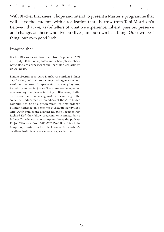With Blacker Blackness, I hope and intend to present a Master's programme that will leave the students with a realization that I borrow from Toni Morrison's Beloved: that we, as (re)tellers of what we experience, inherit, pass on, preserve and change, as those who live our lives, are our own best thing. Our own best thing, our own good luck.

## Imagine that.

Blacker Blackness will take place from September 2021 until July 2023. For updates and vibes, please check www.blackerblackness.com and the @BlackerBlackness on Instagram.

Simone Zeefuik is an Afro-Dutch, Amsterdam-Bijlmer based writer, cultural programmer and organizer whose work centres around representation, everydayness, inclusivity and social justice. She focuses on imagination as access, joy, the (de)spectaclizing of Blackness, digital archives and movements against the illegalizing of the so-called undocumented members of the Afro-Dutch communities. She's a programmer for Amsterdam's Bijlmer Parktheater, a teacher at Zawdie Sandvliet's Afro-Dutch Studies and a ginger tea critic. Together with Richard Kofi (her fellow programmer at Amsterdam's Bijlmer Parktheater) she set up and hosts the podcast Project Wiaspora. From 2021-2023 Zeefuik will teach the temporary master Blacker Blackness at Amsterdam's Sandberg Institute where she's also a guest lecturer.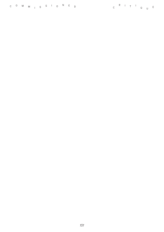|  |  |  |  |  |  |  |  |  | C <sup>O</sup> M <sub>M I</sub> S <sup>S</sup> I O <sup>N</sup> E <sub>D</sub> |  |  | C R I T I Q U E |  |  |  |  |  |  |  |
|--|--|--|--|--|--|--|--|--|--------------------------------------------------------------------------------|--|--|-----------------|--|--|--|--|--|--|--|
|--|--|--|--|--|--|--|--|--|--------------------------------------------------------------------------------|--|--|-----------------|--|--|--|--|--|--|--|